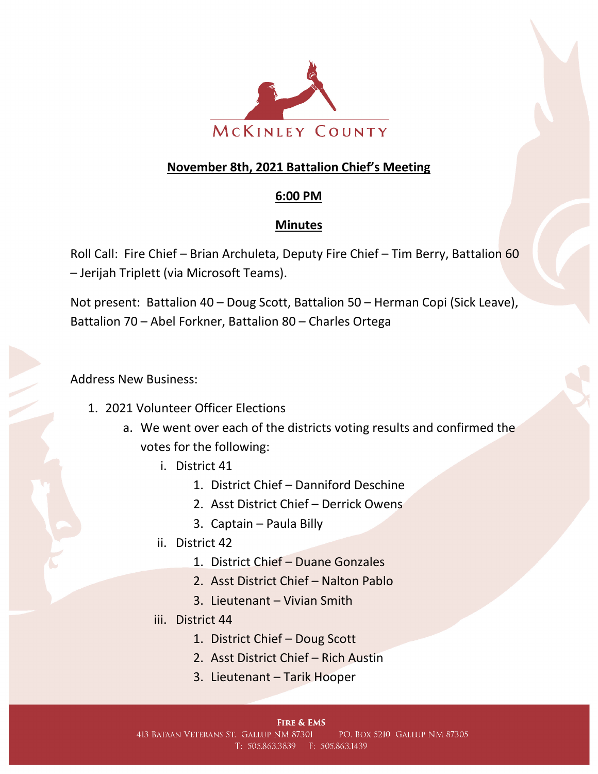

## **November 8th, 2021 Battalion Chief's Meeting**

## **6:00 PM**

## **Minutes**

Roll Call: Fire Chief – Brian Archuleta, Deputy Fire Chief – Tim Berry, Battalion 60 – Jerijah Triplett (via Microsoft Teams).

Not present: Battalion 40 – Doug Scott, Battalion 50 – Herman Copi (Sick Leave), Battalion 70 – Abel Forkner, Battalion 80 – Charles Ortega

Address New Business:

- 1. 2021 Volunteer Officer Elections
	- a. We went over each of the districts voting results and confirmed the votes for the following:
		- i. District 41
			- 1. District Chief Danniford Deschine
			- 2. Asst District Chief Derrick Owens
			- 3. Captain Paula Billy
		- ii. District 42
			- 1. District Chief Duane Gonzales
			- 2. Asst District Chief Nalton Pablo
			- 3. Lieutenant Vivian Smith
		- iii. District 44
			- 1. District Chief Doug Scott
			- 2. Asst District Chief Rich Austin
			- 3. Lieutenant Tarik Hooper